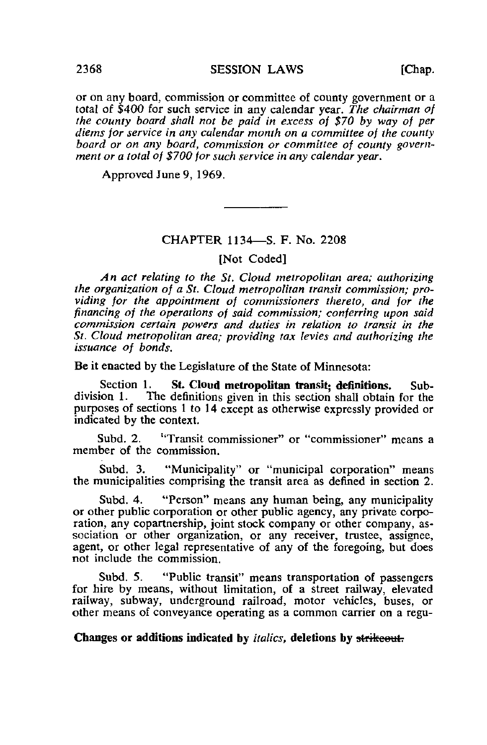or on any board, commission or committee of county government or a total of \$400 for such service in any calendar year. The chairman of the county board shall not be paid in excess of \$70 by way of per diems for service in any calendar month on a committee of the county board or on any board, commission or committee of county government or a total of \$700 for such service in any calendar year.

Approved June 9, 1969.

### CHAPTER 1134—S. F. No. 2208

[Not Coded]

An act relating to the St. Cloud metropolitan area; authorizing the organization of a St. Cloud metropolitan transit commission; providing for the appointment of commissioners thereto, and for the financing of the operations of said commission; conferring upon said commission certain powers and duties in relation to transit in the St. Cloud metropolitan area; providing tax levies and authorizing the issuance of bonds.

Be it enacted by the Legislature of the State of Minnesota:

Section 1. St. Cloud metropolitan transit; definitions. Sub-<br>division 1. The definitions given in this section shall obtain for the The definitions given in this section shall obtain for the purposes of sections 1 to 14 except as otherwise expressly provided or indicated by the context.

Subd. 2. 'Transit commissioner" or "commissioner" means a member of the commission.

Subd. 3. "Municipality" or "municipal corporation" means the municipalities comprising the transit area as defined in section 2.

Subd. 4. "Person" means any human being, any municipality or other public corporation or other public agency, any private corporation, any copartnership, joint stock company or other company, association or other organization, or any receiver, trustee, assignee, agent, or other legal representative of any of the foregoing, but does not include the commission.

Subd. 5. "Public transit" means transportation of passengers for hire by means, without limitation, of a street railway, elevated railway, subway, underground railroad, motor vehicles, buses, or other means of conveyance operating as a common carrier on a regu-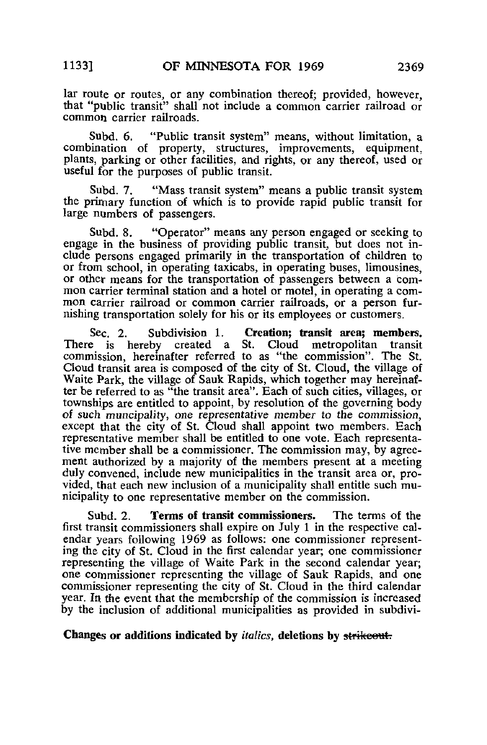lar route or routes, or any combination thereof; provided, however, that "public transit" shall not include a common carrier railroad or common carrier railroads.

Subd. 6. "Public transit system" means, without limitation, a combination of property, structures, improvements, equipment, plants, parking or other facilities, and rights, or any thereof, used or useful for the purposes of public transit.

Subd. 7. "Mass transit system" means a public transit system the primary function of which is to provide rapid public transit for large numbers of passengers.

Subd. 8. "Operator" means any person engaged or seeking to engage in the business of providing public transit, but does not include persons engaged primarily in the transportation of children to or from school, in operating taxicabs, in operating buses, limousines, or other means for the transportation of passengers between a common carrier terminal station and a hotel or motel, in operating a common carrier railroad or common carrier railroads, or a person furnishing transportation solely for his or its employees or customers.

Sec. 2. Subdivision 1. **Creation; transit area; members.**<br>e is hereby created a St. Cloud metropolitan transit There is hereby created a St. commission, hereinafter referred to as "the commission". The St. Cloud transit area is composed of the city of St. Cloud, the village of Waite Park, the village of Sauk Rapids, which together may hereinafter be referred to as "the transit area". Each of such cities, villages, or townships are entitled to appoint, by resolution of the governing body of such muncipality, one representative member to the commission, except that the city of St. Cloud shall appoint two members. Each representative member shall be entitled to one vote. Each representative member shall be a commissioner. The commission may, by agreement authorized by a majority of the members present at a meeting duly convened, include new municipalities in the transit area or, provided, that each new inclusion of a municipality shall entitle such municipality to one representative member on the commission.

Subd. 2. Terms of transit commissioners. The terms of the first transit commissioners shall expire on July 1 in the respective calendar years following 1969 as follows: one commissioner representing the city of St. Cloud in the first calendar year; one commissioner representing the village of Waite Park in the second calendar year; one commissioner representing the village of Sauk Rapids, and one commissioner representing the city of St. Cloud in the third calendar year. In the event that the membership of the commission is increased by the inclusion of additional municipalities as provided in subdivi-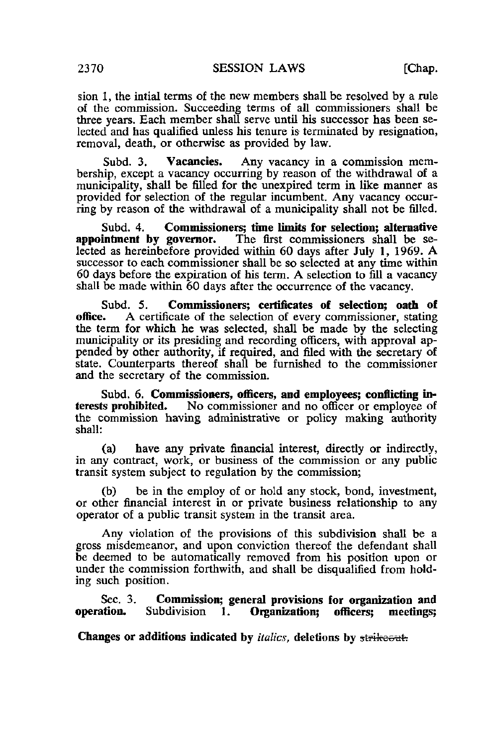sion 1, the intial terms of the new members shall be resolved by a rule of the commission. Succeeding terms of all commissioners shall be three years. Each member shall serve until his successor has been selected and has qualified unless his tenure is terminated by resignation, removal, death, or otherwise as provided by law.

Subd. 3. Vacancies. Any vacancy in a commission membership, except a vacancy occurring by reason of the withdrawal of a municipality, shall be filled for the unexpired term in like manner as provided for selection of the regular incumbent. Any vacancy occurring by reason of the withdrawal of a municipality shall not be filled.

Subd. 4. Commissioners; time limits for selection; alternative appointment by governor. The first commissioners shall be se-The first commissioners shall be selected as hereinbefore provided within 60 days after July 1, 1969. A successor to each commissioner shall be so selected at any time within 60 days before the expiration of his term. A selection to fill a vacancy shall be made within 60 days after the occurrence of the vacancy.

Subd. 5. **Commissioners; certificates of selection; oath of office.** A certificate of the selection of every commissioner, stating A certificate of the selection of every commissioner, stating the term for which he was selected, shall be made by the selecting municipality or its presiding and recording officers, with approval appended by other authority, if required, and filed with the secretary of state. Counterparts thereof shall be furnished to the commissioner and the secretary of the commission.

Subd. 6. **Commissioners, officers, and employees; conflicting in-**<br>terests prohibited. No commissioner and no officer or employee of No commissioner and no officer or employee of the commission having administrative or policy making authority shall:

(a) have any private financial interest, directly or indirectly, in any contract, work, or business of the commission or any public transit system subject to regulation by the commission;

(b) be in the employ of or hold any stock, bond, investment, or other financial interest in or private business relationship to any operator of a public transit system in the transit area.

Any violation of the provisions of this subdivision shall be a gross misdemeanor, and upon conviction thereof the defendant shall be deemed to be automatically removed from his position upon or under the commission forthwith, and shall be disqualified from holding such position.

Sec. 3. Commission; general provisions for organization and operation. Subdivision 1. Organization; officers; meetings; Subdivision 1.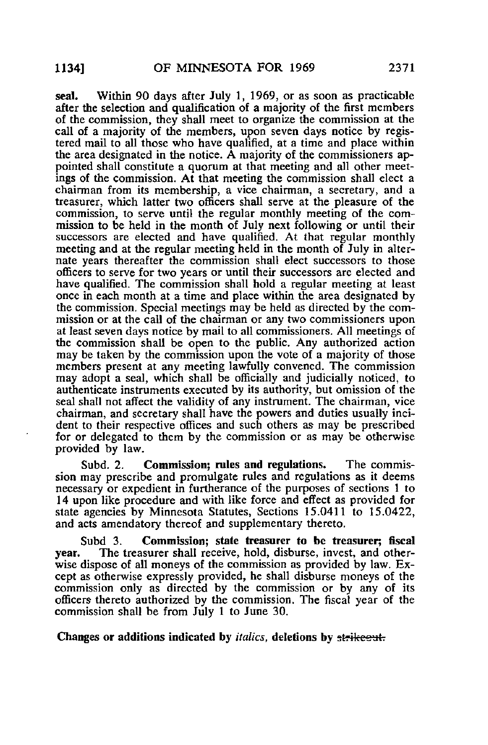seal. Within 90 days after July 1, 1969, or as soon as practicable after the selection and qualification of a majority of the first members of the commission, they shall meet to organize the commission at the call of a majority of the members, upon seven days notice by registered mail to all those who have qualified, at a time and place within the area designated in the notice. A majority of the commissioners appointed shall constitute a quorum at that meeting and all other meetings of the commission. At that meeting the commission shall elect a chairman from its membership, a vice chairman, a secretary, and a treasurer, which latter two officers shall serve at the pleasure of the commission, to serve until the regular monthly meeting of the commission to be held in the month of July next following or until their successors are elected and have qualified. At that regular monthly meeting and at the regular meeting held in the month of July in alternate years thereafter the commission shall elect successors to those officers to serve for two years or until their successors are elected and have qualified. The commission shall hold a regular meeting at least once in each month at a time and place within the area designated by the commission. Special meetings may be held as directed by the commission or at the call of the chairman or any two commissioners upon at least seven days notice by mail to all commissioners. All meetings of the commission shall be open to the public. Any authorized action may be taken by the commission upon the vote of a majority of those members present at any meeting lawfully convened. The commission may adopt a seal, which shall be officially and judicially noticed, to authenticate instruments executed by its authority, but omission of the seal shall not affect the validity of any instrument. The chairman, vice chairman, and secretary shall have the powers and duties usually incident to their respective offices and such others as may be prescribed for or delegated to them by the commission or as may be otherwise provided by law.

Subd. 2. Commission; rules and regulations. The commission may prescribe and promulgate rules and regulations as it deems necessary or expedient in furtherance of the purposes of sections 1 to 1 4 upon like procedure and with like force and effect as provided for state agencies by Minnesota Statutes, Sections 15.0411 to 15.0422, and acts amendatory thereof and supplementary thereto.

Subd 3. Commission; state treasurer to be treasurer; fiscal year. The treasurer shall receive, hold, disburse, invest, and otherwise dispose of all moneys of the commission as provided by law. Except as otherwise expressly provided, he shall disburse moneys of the commission only as directed by the commission or by any of its officers- thereto authorized by the commission. The fiscal year of the commission shall be from July 1 to June 30.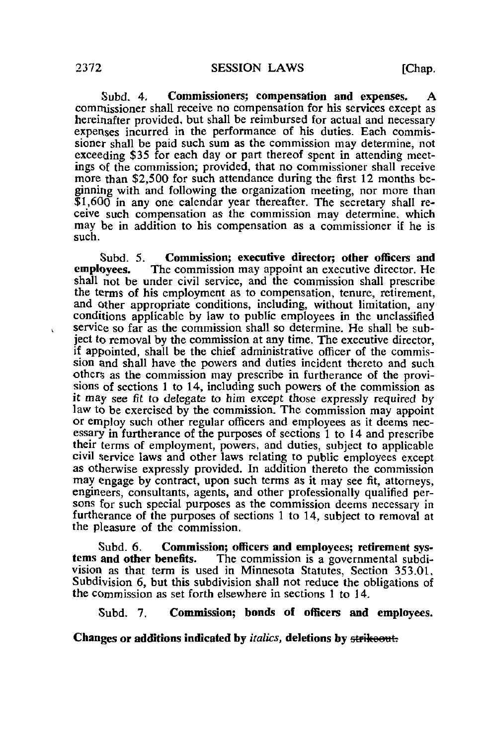Subd. 4, Commissioners; compensation and expenses. A commissioner shall receive no compensation for his services except as hereinafter provided, but shall be reimbursed for actual and necessary expenses incurred in the performance of his duties. Each commissioner shall be paid such sum as the commission may determine, not exceeding \$35 for each day or part thereof spent in attending meetings of the commission; provided, that no commissioner shall receive more than \$2,500 for such attendance during the first 12 months beginning with and following the organization meeting, nor more than \$1,600 in any one calendar year thereafter. The secretary shall receive such compensation as the commission may determine, which may be in addition to his compensation as a commissioner if he is such.

Subd. 5. Commission; executive director; other officers and employees. The commission may appoint an executive director. He The commission may appoint an executive director. He shall not be under civil service, and the commission shall prescribe the terms of his employment as to compensation, tenure, retirement, and other appropriate conditions, including, without limitation, any conditions applicable by law to public employees in the unclassified service so far as the commission shall so determine. He shall be subject to removal by the commission at any time. The executive director, if appointed, shall be the chief administrative officer of the commission and shall have the powers and duties incident thereto and such others as the commission may prescribe in furtherance of the provisions of sections 1 to 14, including such powers of the commission as it may see fit to delegate to him except those expressly required by law to be exercised by the commission. The commission may appoint or employ such other regular officers and employees as it deems necessary in furtherance of the purposes of sections 1 to 14 and prescribe their terms of employment, powers, and duties, subject to applicable civil service laws and other laws relating to public employees except as otherwise expressly provided. In addition thereto the commission may engage by contract, upon such terms as it may see fit, attorneys, engineers, consultants, agents, and other professionally qualified persons for such special purposes as the commission deems necessary in furtherance of the purposes of sections 1 to 14, subject to removal at the pleasure of the commission.

Subd. 6. Commission; officers and employees; retirement systems and other benefits. The commission is a governmental subdi-The commission is a governmental subdivision as that term is used in Minnesota Statutes, Section 353.01, Subdivision 6, but this subdivision shall not reduce the obligations of the commission as set forth elsewhere in sections 1 to 14.

Subd. 7. Commission; bonds of officers and employees.

# Changes or additions indicated by *italics*, deletions by strikeout.

 $\mathbf{v}$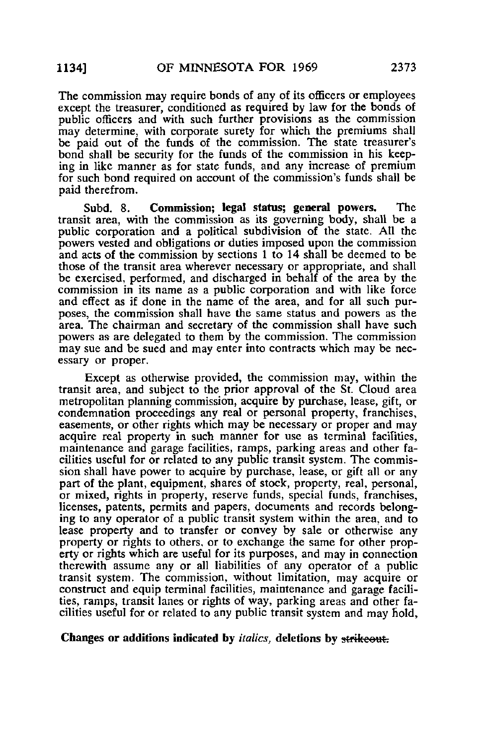The commission may require bonds of any of its officers or employees except the treasurer, conditioned as required by law for the bonds of public officers and with such further provisions as the commission may determine, with corporate surety for which the premiums shall be paid out of the funds of the commission. The state treasurer's bond shall be security for the funds of the commission in his keeping in like manner as for state funds, and any increase of premium for such bond required on account of the commission's funds shall be paid therefrom.

Subd. 8. Commission; legal status; general powers. The transit area, with the commission as its governing body, shall be a public corporation and a political subdivision of the state. All the powers vested and obligations or duties imposed upon the commission and acts of the commission by sections 1 to 14 shall be deemed to be those of the transit area wherever necessary or appropriate, and shall be exercised, performed, and discharged in behalf of the area by the commission in its name as a public corporation and with like force and effect as if done in the name of the area, and for all such purposes, the commission shall have the same status and powers as the area. The chairman and secretary of the commission shall have such powers as are delegated to them by the commission. The commission may sue and be sued and may enter into contracts which may be necessary or proper.

Except as otherwise provided, the commission may, within the transit area, and subject to the prior approval of the St. Cloud area metropolitan planning commission, acquire by purchase, lease, gift, or condemnation proceedings any real or personal property, franchises, easements, or other rights which may be necessary or proper and may acquire real property in such manner for use as terminal facilities, maintenance and garage facilities, ramps, parking areas and other facilities useful for or related to any public transit system. The commission shall have power to acquire by purchase, lease, or gift all or any part of the plant, equipment, shares of stock, property, real, personal, or mixed, rights in property, reserve funds, special funds, franchises, licenses, patents, permits and papers, documents and records belonging to any operator of a public transit system within the area, and to lease property and to transfer or convey by sale or otherwise any property or rights to others, or to exchange the same for other property or rights which are useful for its purposes, and may in connection therewith assume any or all liabilities of any operator of a public transit system. The commission, without limitation, may acquire or construct and equip terminal facilities, maintenance and garage facilities, ramps, transit lanes or rights of way, parking areas and other facilities useful for or related to any public transit system and may hold,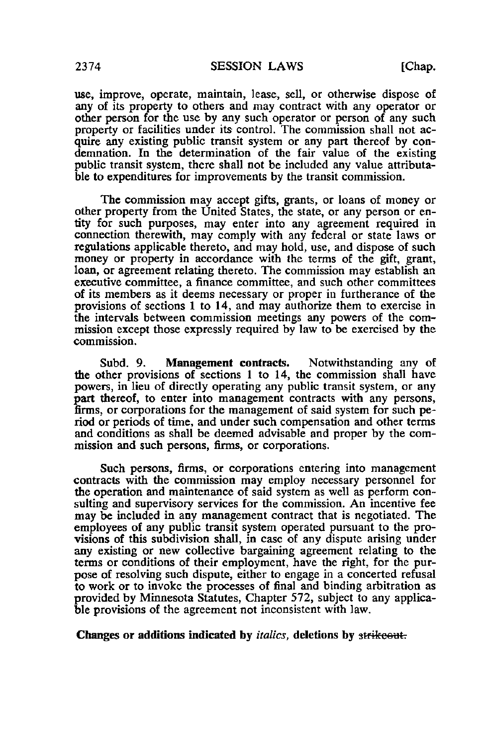use, improve, operate, maintain, lease, sell, or otherwise dispose of any of its property to others and may contract with any operator or other person for the use by any such operator or person of any such property or facilities under its control. The commission shall not acquire any existing public transit system or any part thereof by condemnation. In the determination of the fair value of the existing public transit system, there shall not be included any value attributable to expenditures for improvements by the transit commission.

The commission may accept gifts, grants, or loans of money or other property from the United States, the state, or any person or entity for such purposes, may enter into any agreement required in connection therewith, may comply with any federal or state laws or regulations applicable thereto, and may hold, use, and dispose of such money or property in accordance with the terms of the gift, grant, loan, or agreement relating thereto. The commission may establish an executive committee, a finance committee, and such other committees of its members as it deems necessary or proper in furtherance of the provisions of sections 1 to 14, and may authorize them to exercise in the intervals between commission meetings any powers of the commission except those expressly required by law to be exercised by the commission.

Subd. 9. Management contracts. Notwithstanding any of the other provisions of sections 1 to 14, the commission shall have powers, in lieu of directly operating any public transit system, or any part thereof, to enter into management contracts with any persons, firms, or corporations for the management of said system for such period or periods of time, and under such compensation and other terms and conditions as shall be deemed advisable and proper by the commission and such persons, firms, or corporations.

Such persons, firms, or corporations entering into management contracts with the commission may employ necessary personnel for the operation and maintenance of said system as well as perform consulting and supervisory services for the commission. An incentive fee may be included in any management contract that is negotiated. The employees of any public transit system operated pursuant to the provisions of this subdivision shall, in case of any dispute arising under any existing or new collective bargaining agreement relating to the terms or conditions of their employment, have the right, for the purpose of resolving such dispute, either to engage in a concerted refusal to work or to invoke the processes of final and binding arbitration as provided by Minnesota Statutes, Chapter 572, subject to any applicable provisions of the agreement not inconsistent with law.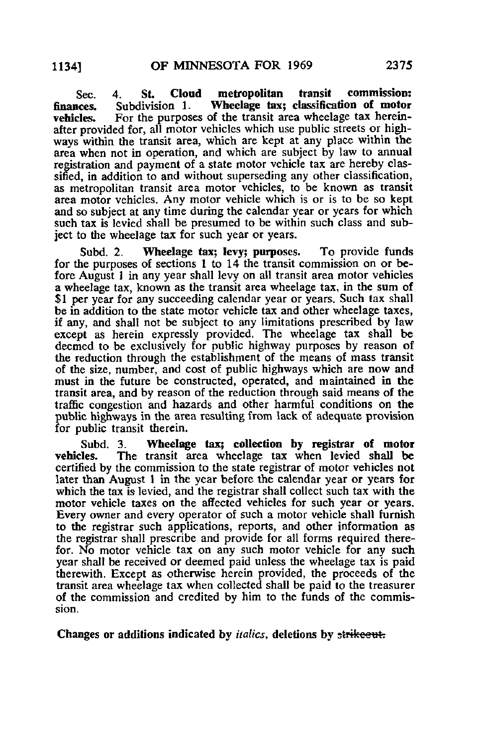Sec. 4. St. Cloud metropolitan transit commission:<br>finances. Subdivision 1. Wheelage tax; classification of motor finances. Subdivision 1. Wheelage tax; classification of motor vehicles. For the purposes of the transit area wheelage tax herein-For the purposes of the transit area wheelage tax hereinafter provided for, all motor vehicles which use public streets or highways within the transit area, which are kept at any place within the area when not in operation, and which are subject by law to annual registration and payment of a state motor vehicle tax are hereby classified, in addition to and without superseding any other classification, as metropolitan transit area motor vehicles, to be known as transit area motor vehicles. Any motor vehicle which is or is to be so kept and so subject at any time during the calendar year or years for which such tax is levied shall be presumed to be within such class and subject to the wheelage tax for such year or years.

Subd. 2. Wheelage tax; levy; purposes. To provide funds for the purposes of sections 1 to 14 the transit commission on or before August 1 in any year shall levy on all transit area motor vehicles a wheelage tax, known as the transit area wheelage tax, in the sum of \$1 per year for any succeeding calendar year or years. Such tax shall be in addition to the state motor vehicle tax and other wheelage taxes, if any, and shall not be subject to any limitations prescribed by law except as herein expressly provided. The wheelage tax shall be deemed to be exclusively for public highway purposes by reason of the reduction through the establishment of the means of mass transit of the size, number, and cost of public highways which are now and must in the future be constructed, operated, and maintained in the transit area, and by reason of the reduction through said means of the traffic congestion and hazards and other harmful conditions on the public highways in the area resulting from lack of adequate provision for public transit therein.

Subd. 3. Wheelage tax; collection by registrar of motor vehicles. The transit area wheelage tax when levied shall be The transit area wheelage tax when levied shall be certified by the commission to the state registrar of motor vehicles not later than August 1 in the year before the calendar year or years for which the tax is levied, and the registrar shall collect such tax with the motor vehicle taxes on the affected vehicles for such year or years. Every owner and every operator of such a motor vehicle shall furnish to the registrar such applications, reports, and other information as the registrar shall prescribe and provide for all forms required therefor. No motor vehicle tax on any such motor vehicle for any such year shall be received or deemed paid unless the wheelage tax is paid therewith. Except as otherwise herein provided, the proceeds of the transit area wheelage tax when collected shall be paid to the treasurer of the commission and credited by him to the funds of the commission.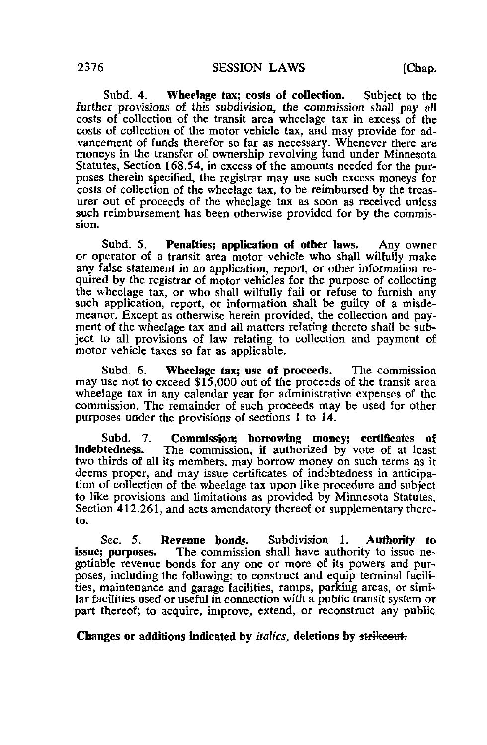Subd. 4. Wheelage tax; costs of collection. Subject to the further provisions of this subdivision, the commission shall pay all costs of collection of the transit area wheelage tax in excess of the costs of collection of the motor vehicle tax, and may provide for advancement of funds therefor so far as necessary. Whenever there are moneys in the transfer of ownership revolving fund under Minnesota Statutes, Section 168.54, in excess of the amounts needed for the purposes therein specified, the registrar may use such excess moneys for costs of collection of the wheelage tax, to be reimbursed by the treasurer out of proceeds of the wheelage tax as soon as received unless such reimbursement has been otherwise provided for by the commission.

Subd. 5. Penalties; application of other laws. Any owner or operator of a transit area motor vehicle who shall wilfully make any false statement in an application, report, or other information required by the registrar of motor vehicles for the purpose of collecting the wheelage tax, or who shall wilfully fail or refuse to furnish any such application, report, or information shall be guilty of a misdemeanor. Except as otherwise herein provided, the collection and payment of the wheelage tax and all matters relating thereto shall be subject to all provisions of law relating to collection and payment of motor vehicle taxes so far as applicable.

Subd. 6. Wheelage tax; use of proceeds. The commission may use not to exceed \$15,000 out of the proceeds of the transit area wheelage tax in any calendar year for administrative expenses of the commission. The remainder of such proceeds may be used for other purposes under the provisions of sections 1 to 14.

Subd. 7. **Commission; borrowing money; certificates of indebtedness.** The commission, if authorized by yote of at least The commission, if authorized by vote of at least two thirds of all its members, may borrow money on such terms as it deems proper, and may issue certificates of indebtedness in anticipation of collection of the wheelage tax upon like procedure and subject to like provisions and limitations as provided by Minnesota Statutes, Section 412.261, and acts amendatory thereof or supplementary thereto.

Sec. 5. Revenue bonds. Subdivision 1. Authority to issue ne-<br>issue: purposes. The commission shall have authority to issue ne-The commission shall have authority to issue negotiable revenue bonds for any one or more of its powers and purposes, including the following: to construct and equip terminal facilities, maintenance and garage facilities, ramps, parking areas, or similar facilities used or useful in connection with a public transit system or part thereof; to acquire, improve, extend, or reconstruct any public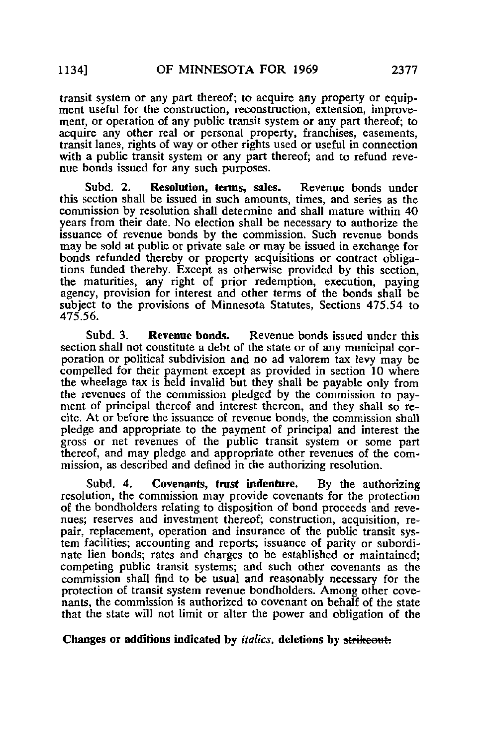transit system or any part thereof; to acquire any property or equipment useful for the construction, reconstruction, extension, improvement, or operation of any public transit system or any part thereof; to acquire any other real or personal property, franchises, easements, transit lanes, rights of way or other rights used or useful in connection with a public transit system or any part thereof; and to refund revenue bonds issued for any such purposes.

Subd. 2. Resolution, terms, sales. Revenue bonds under this section shall be issued in such amounts, times, and series as the commission by resolution shall determine and shall mature within 40 years from their date. No election shall be necessary to authorize the issuance of revenue bonds by the commission. Such revenue bonds may be sold at public or private sale or may be issued in exchange for bonds refunded thereby or property acquisitions or contract obligations funded thereby. Except as otherwise provided by this section, the maturities, any right of prior redemption, execution, paying agency, provision for interest and other terms of the bonds shall be subject to the provisions of Minnesota Statutes, Sections 475.54 to 475.56.

Subd. 3. Revenue bonds. Revenue bonds issued under this section shall not constitute a debt of the state or of any municipal corporation or political subdivision and no ad valorem tax levy may be compelled for their payment except as provided in section 10 where the wheelage tax is held invalid but they shall be payable only from the revenues of the commission pledged by the commission to payment of principal thereof and interest thereon, and they shall so recite. At or before the issuance of revenue bonds, the commission shall pledge and appropriate to the payment of principal and interest the gross or net revenues of the public transit system or some part thereof, and may pledge and appropriate other revenues of the commission, as described and defined in the authorizing resolution.

Subd. 4. Covenants, trust indenture. By the authorizing resolution, the commission may provide covenants for the protection of the bondholders relating to disposition of bond proceeds and revenues; reserves and investment thereof; construction, acquisition, repair, replacement, operation and insurance of the public transit system facilities; accounting and reports; issuance of parity or subordinate lien bonds; rates and charges to be established or maintained; competing public transit systems; and such other covenants as the commission shall find to be usual and reasonably necessary for the protection of transit system revenue bondholders. Among other covenants, the commission is authorized to covenant on behalf of the state that the state will not limit or alter the power and obligation of the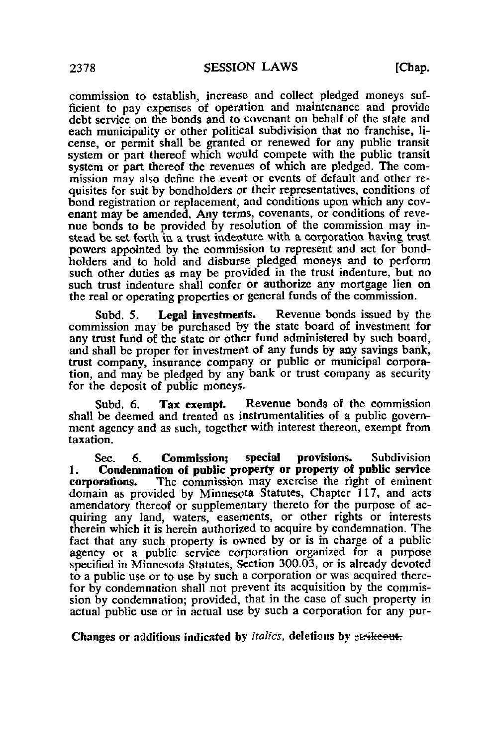commission to establish, increase and collect pledged moneys sufficient to pay expenses of operation and maintenance and provide debt service on the bonds and to covenant on behalf of the state and each municipality or other political subdivision that no franchise, license, or permit shall be granted or renewed for any public transit system or part thereof which would compete with the public transit system or part thereof the revenues of which are pledged. The commission may also define the event or events of default and other requisites for suit by bondholders or their representatives, conditions of bond registration or replacement, and conditions upon which any covenant may be amended. Any terms, covenants, or conditions of revenue bonds to be provided by resolution of the commission may instead be set forth in a trust indenture with a corporation having trust powers appointed by the commission to represent and act for bondholders and to hold and disburse pledged moneys and to perform such other duties as may be provided in the trust indenture, but no such trust indenture shall confer or authorize any mortgage lien on the real or operating properties or general funds of the commission.

Subd. 5. Legal investments. Revenue bonds issued by the commission may be purchased by the state board of investment for any trust fund of the state or other fund administered by such board, and shall be proper for investment of any funds by any savings bank, trust company, insurance company or public or municipal corporation, and may be pledged by any bank or trust company as security for the deposit of public moneys.

Subd. 6. Tax exempt. Revenue bonds of the commission shall be deemed and treated as instrumentalities of a public government agency and as such, together with interest thereon, exempt from taxation.

Sec. 6. Commission; special provisions. Subdivision 1. Condemnation of public property or property of public service corporations. The commission may exercise the right of eminent domain as provided by Minnesota Statutes, Chapter 117, and acts amendatory thereof or supplementary thereto for the purpose of acquiring any land, waters, easements, or other rights or interests therein which it is herein authorized to acquire by condemnation. The fact that any such property is owned by or is in charge of a public agency or a public service corporation organized for a purpose specified in Minnesota Statutes, Section 300.03, or is already devoted to a public use or to use by such a corporation or was acquired therefor by condemnation shall not prevent its acquisition by the commission by condemnation; provided, that in the case of such property in actual public use or in actual use by such a corporation for any pur-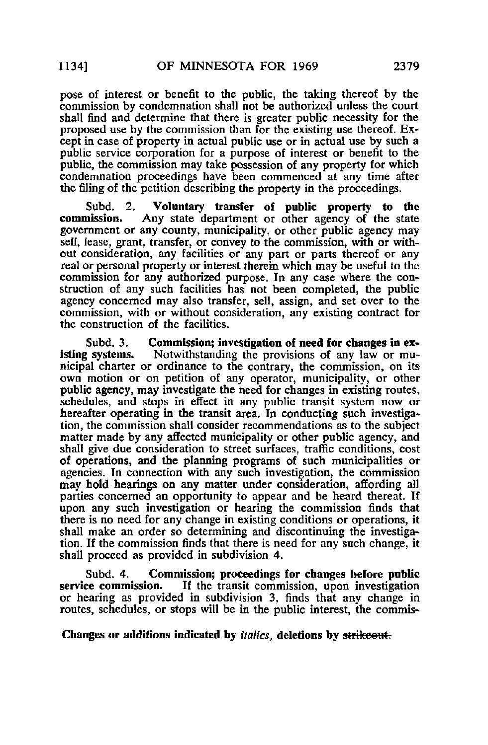pose of interest or benefit to the public, the taking thereof by the commission by condemnation shall not be authorized unless the court shall find and determine that there is greater public necessity for the proposed use by the commission than for the existing use thereof. Except in case of property in actual public use or in actual use by such a public service corporation for a purpose of interest or benefit to the public, the commission may take possession of any property for which condemnation proceedings have been commenced at any time after the filing of the petition describing the property in the proceedings.

Subd. 2. Voluntary transfer of public property to the commission. Any state department or other agency of the state Any state department or other agency of the state government or any county, municipality, or other public agency may sell, lease, grant, transfer, or convey to the commission, with or without consideration, any facilities or any part or parts thereof or any real or personal property or interest therein which may be useful to the commission for any authorized purpose. In any case where the construction of any such facilities has not been completed, the public agency concerned may also transfer, sell, assign, and set over to the commission, with or without consideration, any existing contract for the construction of the facilities.

Subd. 3. Commission; investigation of need for changes in ex-<br>isting systems. Notwithstanding the provisions of any law or mu-Notwithstanding the provisions of any law or municipal charter or ordinance to the contrary, the commission, on its own motion or on petition of any operator, municipality, or other public agency, may investigate the need for changes in existing routes, schedules, and stops in effect in any public transit system now or hereafter operating in the transit area. In conducting such investigation, the commission shall consider recommendations as to the subject matter made by any affected municipality or other public agency, and shall give due consideration to street surfaces, traffic conditions, cost of operations, and the planning programs of such municipalities or agencies. In connection with any such investigation, the commission may hold hearings on any matter under consideration, affording all parties concerned an opportunity to appear and be heard thereat. If upon any such investigation or hearing the commission finds that there is no need for any change in existing conditions or operations, it shall make an order so determining and discontinuing the investigation. If the commission finds that there is need for any such change, it shall proceed as provided in subdivision 4.

Subd. 4. Commission; proceedings for changes before public service commission. If the transit commission, upon investigation If the transit commission, upon investigation or hearing as provided in subdivision 3, finds that any change in routes, schedules, or stops will be in the public interest, the commis-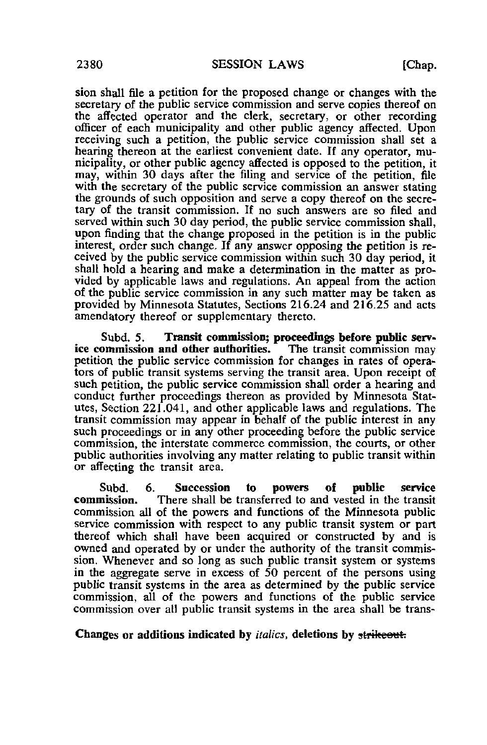sion shall file a petition for the proposed change or changes with the secretary of the public service commission and serve copies thereof on the affected operator and the clerk, secretary, or other recording officer of each municipality and other public agency affected. Upon receiving such a petition, the public service commission shall set a hearing thereon at the earliest convenient date. If any operator, municipality, or other public agency affected is opposed to the petition, it may, within 30 days after the filing and service of the petition, file with the secretary of the public service commission an answer stating the grounds of such opposition and serve a copy thereof on the secretary of the transit commission. If no such answers are so filed and served within such 30 day period, the public service commission shall, upon finding that the change proposed in the petition is in the public interest, order such change. If any answer opposing the petition is received by the public service commission within such 30 day period, it shall hold a hearing and make a determination in the matter as provided by applicable laws and regulations. An appeal from the action of the public service commission in any such matter may be taken as provided by Minnesota Statutes, Sections 216.24 and 216.25 and acts amendatory thereof or supplementary thereto.

Subd. 5. Transit commission; proceedings before public serv-<br>ommission and other authorities. The transit commission may ice commission and other authorities. petition the public service commission for changes in rates of operators of public transit systems serving the transit area. Upon receipt of such petition, the public service commission shall order a hearing and conduct further proceedings thereon as provided by Minnesota Statutes, Section 221.041, and other applicable laws and regulations. The transit commission may appear in behalf of the public interest in any such proceedings or in any other proceeding before the public service commission, the interstate commerce commission, the courts, or other public authorities involving any matter relating to public transit within or affecting the transit area.

Subd. 6. Succession to powers of public service commission. There shall be transferred to and vested in the transit commission all of the powers and functions of the Minnesota public service commission with respect to any public transit system or part thereof which shall have been acquired or constructed by and is owned and operated by or under the authority of the transit commission. Whenever and so long as such public transit system or systems in the aggregate serve in excess of 50 percent of the persons using public transit systems in the area as determined by the public service commission, all of the powers and functions of the public service commission over all public transit systems in the area shall be trans-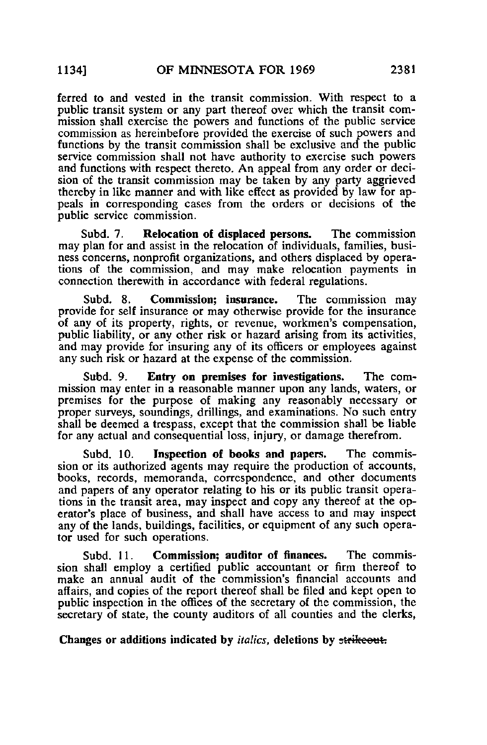ferred to and vested in the transit commission. With respect to a public transit system or any part thereof over which the transit commission shall exercise the powers and functions of the public service commission as hereinbefore provided the exercise of such powers and functions by the transit commission shall be exclusive and the public service commission shall not have authority to exercise such powers and functions with respect thereto. An appeal from any order or decision of the transit commission may be taken by any party aggrieved thereby in like manner and with like effect as provided by law for appeals in corresponding cases from the orders or decisions of the public service commission.

Subd. 7. Relocation of displaced persons. The commission may plan for and assist in the relocation of individuals, families, business concerns, nonprofit organizations, and others displaced by operations of the commission, and may make relocation payments in connection therewith in accordance with federal regulations.

Subd. 8. Commission; insurance. The commission may provide for self insurance or may otherwise provide for the insurance of any of its property, rights, or revenue, workmen's compensation, public liability, or any other risk or hazard arising from its activities, and may provide for insuring any of its officers or employees against any such risk or hazard at the expense of the commission.

Subd. 9. Entry on premises for investigations. The commission may enter in a reasonable manner upon any lands, waters, or premises for the purpose of making any reasonably necessary or proper surveys, soundings, drillings, and examinations. No such entry shall be deemed a trespass, except that the commission shall be liable for any actual and consequential loss, injury, or damage therefrom.

Subd. 10. Inspection of books and papers. The commission or its authorized agents may require the production of accounts, books, records, memoranda, correspondence, and other documents and papers of any operator relating to his or its public transit operations in the transit area, may inspect and copy any thereof at the operator's place of business, and shall have access to and may inspect any of the lands, buildings, facilities, or equipment of any such operator used for such operations.

Subd. 11. Commission; auditor of finances. The commission shall employ a certified public accountant or firm thereof to make an annual audit of the commission's financial accounts and affairs, and copies of the report thereof shall be filed and kept open to public inspection in the offices of the secretary of the commission, the secretary of state, the county auditors of all counties and the clerks,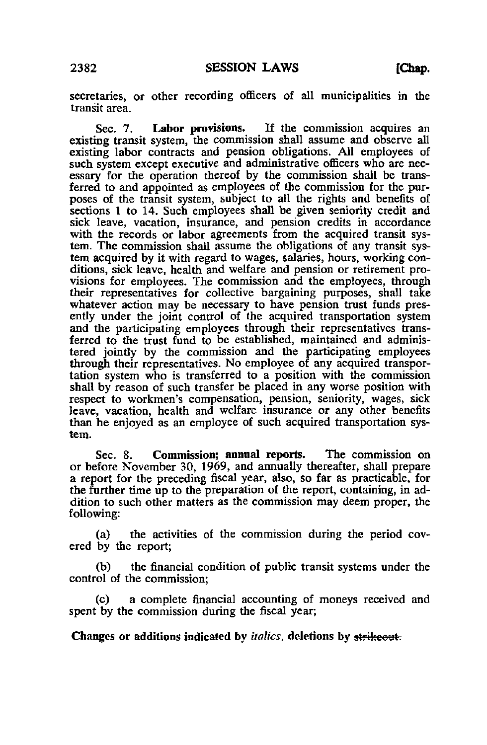secretaries, or other recording officers of all municipalities in the transit area.

Sec. 7. Labor provisions. If the commission acquires an existing transit system, the commission shall assume and observe all existing labor contracts and pension obligations. All employees of such system except executive and administrative officers who are necessary for the operation thereof by the commission shall be transferred to and appointed as employees of the commission for the purposes of the transit system, subject to all the rights and benefits of sections 1 to 14. Such employees shall be given seniority credit and sick leave, vacation, insurance, and pension credits in accordance with the records or labor agreements from the acquired transit system. The commission shall assume the obligations of any transit system acquired by it with regard to wages, salaries, hours, working conditions, sick leave, health and welfare and pension or retirement provisions for employees. The commission and the employees, through their representatives for collective bargaining purposes, shall take whatever action may be necessary to have pension trust funds presently under the joint control of the acquired transportation system and the participating employees through their representatives transferred to the trust fund to be established, maintained and administered jointly by the commission and the participating employees through their representatives. No employee of any acquired transportation system who is transferred to a position with the commission shall by reason of such transfer be placed in any worse position with respect to workmen's compensation, pension, seniority, wages, sick leave, vacation, health and welfare insurance or any other benefits than he enjoyed as an employee of such acquired transportation system.

Sec. 8. Commission; annual reports. The commission on or before November 30, 1969, and annually thereafter, shall prepare a report for the preceding fiscal year, also, so far as practicable, for the further time up to the preparation of the report, containing, in addition to such other matters as the commission may deem proper, the following:

(a) the activities of the commission during the period covered by the report;

(b) the financial condition of public transit systems under the control of the commission;

(c) a complete financial accounting of moneys received and spent by the commission during the fiscal year;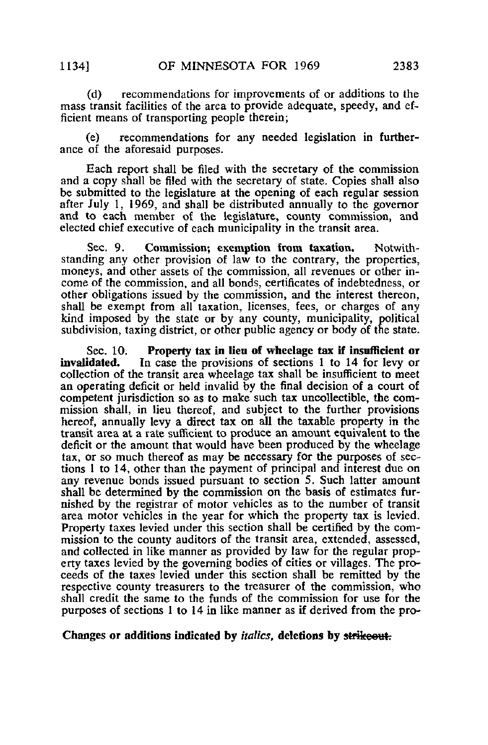(d) recommendations for improvements of or additions to the mass transit facilities of the area to provide adequate, speedy, and ef-

ficient means of transporting people therein;

(e) recommendations for any needed legislation in furtherance of the aforesaid purposes.

Each report shall be filed with the secretary of the commission and a copy shall be filed with the secretary of state. Copies shall also be submitted to the legislature at the opening of each regular session after July 1, 1969, and shall be distributed annually to the governor and to each member of the legislature, county commission, and elected chief executive of each municipality in the transit area.

Sec. 9. Commission; exemption from taxation. Notwithstanding any other provision of law to the contrary, the properties, moneys, and other assets of the commission, all revenues or other income of the commission, and all bonds, certificates of indebtedness, or other obligations issued by the commission, and the interest thereon, shall be exempt from all taxation, licenses, fees, or charges of any kind imposed by the state or by any county, municipality, political subdivision, taxing district, or other public agency or body of the state.

Sec. 10. Property tax in lieu of wheelage tax if insufficient or<br>invalidated. In case the provisions of sections 1 to 14 for levy or In case the provisions of sections 1 to 14 for levy or collection of the transit area wheelage tax shall be insufficient to meet an operating deficit or held invalid by the final decision of a court of competent jurisdiction so as to make such tax uncollectible, the commission shall, in lieu thereof, and subject to the further provisions hereof, annually levy a direct tax on all the taxable property in the transit area at a rate sufficient to produce an amount equivalent to the deficit or the amount that would have been produced by the wheelage tax, or so much thereof as may be necessary for the purposes of sections 1 to 14, other than the payment of principal and interest due on any revenue bonds issued pursuant to section 5. Such latter amount shall be determined by the commission on the basis of estimates furnished by the registrar of motor vehicles as to the number of transit area motor vehicles in the year for which the property tax is levied. Property taxes levied under this section shall be certified by the commission to the county auditors of the transit area, extended, assessed, and collected in like manner as provided by law for the regular property taxes levied by the governing bodies of cities or villages. The proceeds of the taxes levied under this section shall be remitted by the respective county treasurers to the treasurer of the commission, who shall credit the same to the funds of the commission for use for the purposes of sections 1 to 14 in like manner as if derived from the pro-